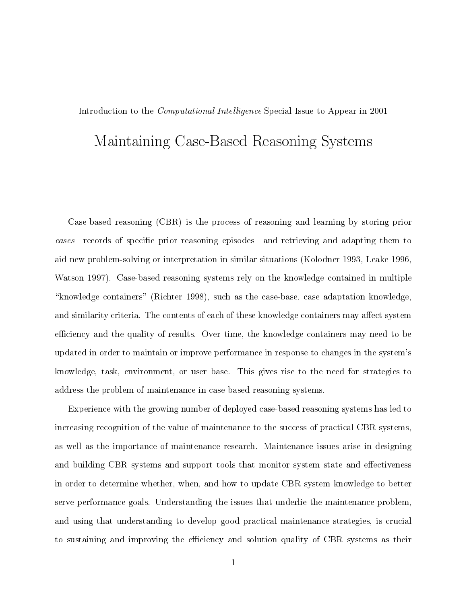Introduction to the *Computational Intelligence* Special Issue to Appear in 2001

## Maintaining Case-Based Reasoning Systems

Case-based reasoning (CBR) is the process of reasoning and learning by storing prior cases—records of specific prior reasoning episodes—and retrieving and adapting them to aid new problem-solving or interpretation in similar situations (Kolodner 1993, Leake 1996, Watson 1997). Case-based reasoning systems rely on the knowledge contained in multiple "knowledge containers" (Richter 1998), such as the case-base, case adaptation knowledge, and similarity criteria. The contents of each of these knowledge containers may affect system efficiency and the quality of results. Over time, the knowledge containers may need to be updated in order to maintain or improve performance in response to changes in the system's knowledge, task, environment, or user base. This gives rise to the need for strategies to address the problem of maintenance in case-based reasoning systems.

Experience with the growing number of deployed case-based reasoning systems has led to increasing recognition of the value of maintenance to the success of practical CBR systems, as well as the importance of maintenance research. Maintenance issues arise in designing and building CBR systems and support tools that monitor system state and effectiveness in order to determine whether, when, and how to update CBR system knowledge to better serve performance goals. Understanding the issues that underlie the maintenance problem, and using that understanding to develop good practical maintenance strategies, is crucial to sustaining and improving the efficiency and solution quality of CBR systems as their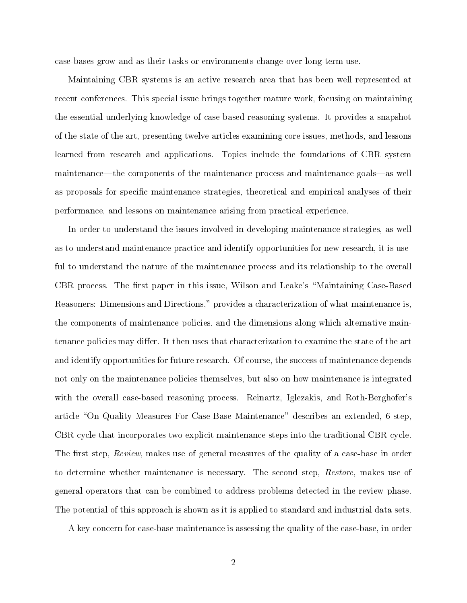case-bases grow and as their tasks or environments change over long-term use.

Maintaining CBR systems is an active research area that has been well represented at recent conferences. This special issue brings together mature work, focusing on maintaining the essential underlying knowledge of case-based reasoning systems. It provides a snapshot of the state of the art, presenting twelve articles examining core issues, methods, and lessons learned from research and applications. Topics include the foundations of CBR system maintenance—the components of the maintenance process and maintenance goals—as well as proposals for specic maintenance strategies, theoretical and empirical analyses of their performance, and lessons on maintenance arising from practical experience.

In order to understand the issues involved in developing maintenance strategies, as well as to understand maintenance practice and identify opportunities for new research, it is useful to understand the nature of the maintenance process and its relationship to the overall CBR process. The first paper in this issue, Wilson and Leake's "Maintaining Case-Based Reasoners: Dimensions and Directions," provides a characterization of what maintenance is, the components of maintenance policies, and the dimensions along which alternative maintenance policies may differ. It then uses that characterization to examine the state of the art and identify opportunities for future research. Of course, the success of maintenance depends not only on the maintenance policies themselves, but also on how maintenance is integrated with the overall case-based reasoning process. Reinartz, Iglezakis, and Roth-Berghofer's article "On Quality Measures For Case-Base Maintenance" describes an extended, 6-step, CBR cycle that incorporates two explicit maintenance steps into the traditional CBR cycle. The first step, Review, makes use of general measures of the quality of a case-base in order to determine whether maintenance is necessary. The second step, Restore, makes use of general operators that can be combined to address problems detected in the review phase. The potential of this approach is shown as it is applied to standard and industrial data sets.

A key concern for case-base maintenance is assessing the quality of the case-base, in order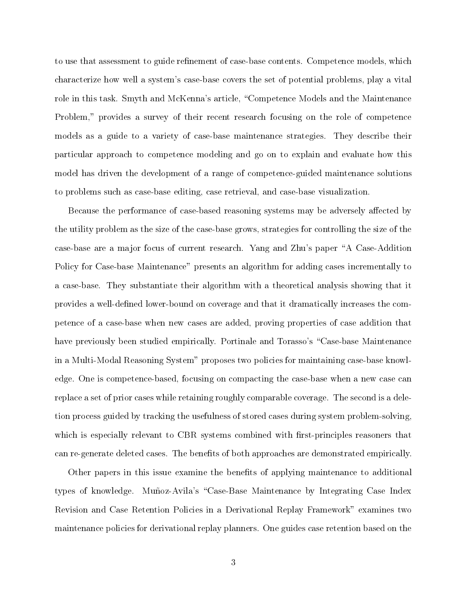to use that assessment to guide refinement of case-base contents. Competence models, which characterize how well a system's case-base covers the set of potential problems, play a vital role in this task. Smyth and McKenna's article, "Competence Models and the Maintenance Problem," provides a survey of their recent research focusing on the role of competence models as a guide to a variety of case-base maintenance strategies. They describe their particular approach to competence modeling and go on to explain and evaluate how this model has driven the development of a range of competence-guided maintenance solutions to problems such as case-base editing, case retrieval, and case-base visualization.

Because the performance of case-based reasoning systems may be adversely affected by the utility problem as the size of the case-base grows, strategies for controlling the size of the case-base are a major focus of current research. Yang and Zhu's paper "A Case-Addition" Policy for Case-base Maintenance" presents an algorithm for adding cases incrementally to a case-base. They substantiate their algorithm with a theoretical analysis showing that it provides a well-defined lower-bound on coverage and that it dramatically increases the competence of a case-base when new cases are added, proving properties of case addition that have previously been studied empirically. Portinale and Torasso's "Case-base Maintenance in a Multi-Modal Reasoning System" proposes two policies for maintaining case-base knowledge. One is competence-based, focusing on compacting the case-base when a new case can replace a set of prior cases while retaining roughly comparable coverage. The second is a deletion process guided by tracking the usefulness of stored cases during system problem-solving, which is especially relevant to CBR systems combined with first-principles reasoners that can re-generate deleted cases. The benefits of both approaches are demonstrated empirically.

Other papers in this issue examine the benefits of applying maintenance to additional types of knowledge. Muñoz-Avila's "Case-Base Maintenance by Integrating Case Index Revision and Case Retention Policies in a Derivational Replay Framework" examines two maintenance policies for derivational replay planners. One guides case retention based on the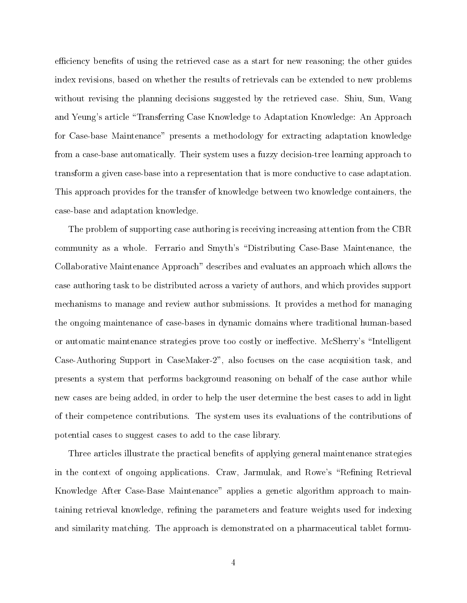efficiency benefits of using the retrieved case as a start for new reasoning; the other guides index revisions, based on whether the results of retrievals can be extended to new problems without revising the planning decisions suggested by the retrieved case. Shiu, Sun, Wang and Yeung's article "Transferring Case Knowledge to Adaptation Knowledge: An Approach for Case-base Maintenance" presents a methodology for extracting adaptation knowledge from a case-base automatically. Their system uses a fuzzy decision-tree learning approach to transform a given case-base into a representation that is more conductive to case adaptation. This approach provides for the transfer of knowledge between two knowledge containers, the case-base and adaptation knowledge.

The problem of supporting case authoring is receiving increasing attention from the CBR community as a whole. Ferrario and Smyth's "Distributing Case-Base Maintenance, the Collaborative Maintenance Approach" describes and evaluates an approach which allows the case authoring task to be distributed across a variety of authors, and which provides support mechanisms to manage and review author submissions. It provides a method for managing the ongoing maintenance of case-bases in dynamic domains where traditional human-based or automatic maintenance strategies prove too costly or ineffective. McSherry's "Intelligent Case-Authoring Support in CaseMaker-2", also focuses on the case acquisition task, and presents a system that performs background reasoning on behalf of the case author while new cases are being added, in order to help the user determine the best cases to add in light of their competence contributions. The system uses its evaluations of the contributions of potential cases to suggest cases to add to the case library.

Three articles illustrate the practical benets of applying general maintenance strategies in the context of ongoing applications. Craw, Jarmulak, and Rowe's "Refining Retrieval Knowledge After Case-Base Maintenance" applies a genetic algorithm approach to maintaining retrieval knowledge, refining the parameters and feature weights used for indexing and similarity matching. The approach is demonstrated on a pharmaceutical tablet formu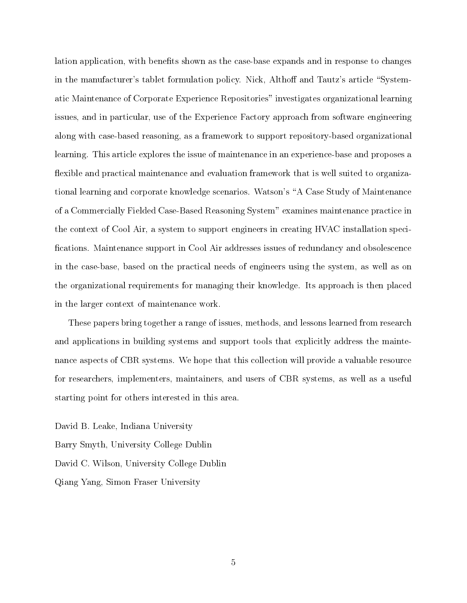lation application, with benefits shown as the case-base expands and in response to changes in the manufacturer's tablet formulation policy. Nick, Althoff and Tautz's article "Systematic Maintenance of Corporate Experience Repositories" investigates organizational learning issues, and in particular, use of the Experience Factory approach from software engineering along with case-based reasoning, as a framework to support repository-based organizational learning. This article explores the issue of maintenance in an experience-base and proposes a flexible and practical maintenance and evaluation framework that is well suited to organizational learning and corporate knowledge scenarios. Watson's "A Case Study of Maintenance of a Commercially Fielded Case-Based Reasoning System" examines maintenance practice in the context of Cool Air, a system to support engineers in creating HVAC installation speci fications. Maintenance support in Cool Air addresses issues of redundancy and obsolescence in the case-base, based on the practical needs of engineers using the system, as well as on the organizational requirements for managing their knowledge. Its approach is then placed in the larger context of maintenance work.

These papers bring together a range of issues, methods, and lessons learned from research and applications in building systems and support tools that explicitly address the maintenance aspects of CBR systems. We hope that this collection will provide a valuable resource for researchers, implementers, maintainers, and users of CBR systems, as well as a useful starting point for others interested in this area.

David B. Leake, Indiana University Barry Smyth, University College Dublin David C. Wilson, University College Dublin Qiang Yang, Simon Fraser University